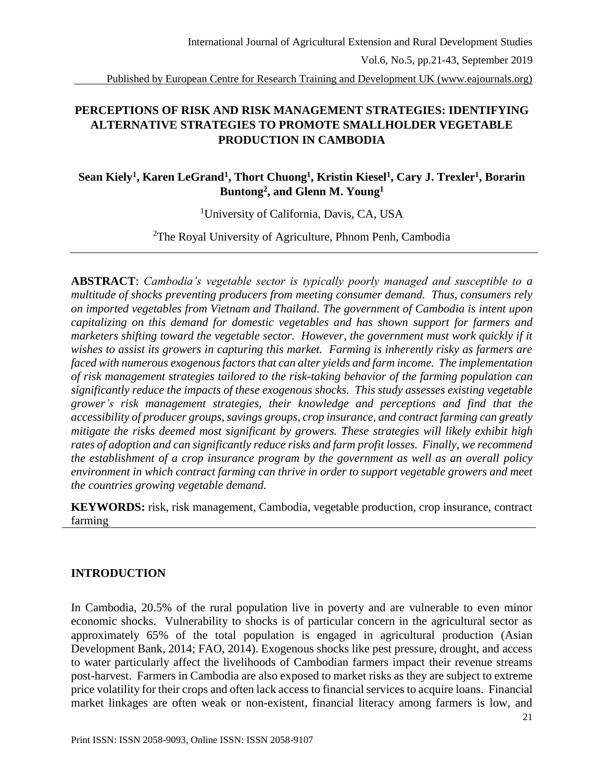Published by European Centre for Research Training and Development UK (www.eajournals.org)

# **PERCEPTIONS OF RISK AND RISK MANAGEMENT STRATEGIES: IDENTIFYING ALTERNATIVE STRATEGIES TO PROMOTE SMALLHOLDER VEGETABLE PRODUCTION IN CAMBODIA**

# Sean Kiely<sup>1</sup>, Karen LeGrand<sup>1</sup>, Thort Chuong<sup>1</sup>, Kristin Kiesel<sup>1</sup>, Cary J. Trexler<sup>1</sup>, Borarin **Buntong<sup>2</sup> , and Glenn M. Young<sup>1</sup>**

<sup>1</sup>University of California, Davis, CA, USA

<sup>2</sup>The Royal University of Agriculture, Phnom Penh, Cambodia

**ABSTRACT**: *Cambodia's vegetable sector is typically poorly managed and susceptible to a multitude of shocks preventing producers from meeting consumer demand. Thus, consumers rely on imported vegetables from Vietnam and Thailand. The government of Cambodia is intent upon capitalizing on this demand for domestic vegetables and has shown support for farmers and marketers shifting toward the vegetable sector. However, the government must work quickly if it wishes to assist its growers in capturing this market. Farming is inherently risky as farmers are faced with numerous exogenous factors that can alter yields and farm income. The implementation of risk management strategies tailored to the risk-taking behavior of the farming population can significantly reduce the impacts of these exogenous shocks. This study assesses existing vegetable grower's risk management strategies, their knowledge and perceptions and find that the accessibility of producer groups, savings groups, crop insurance, and contract farming can greatly mitigate the risks deemed most significant by growers. These strategies will likely exhibit high rates of adoption and can significantly reduce risks and farm profit losses. Finally, we recommend the establishment of a crop insurance program by the government as well as an overall policy environment in which contract farming can thrive in order to support vegetable growers and meet the countries growing vegetable demand.*

**KEYWORDS:** risk, risk management, Cambodia, vegetable production, crop insurance, contract farming

## **INTRODUCTION**

In Cambodia, 20.5% of the rural population live in poverty and are vulnerable to even minor economic shocks. Vulnerability to shocks is of particular concern in the agricultural sector as approximately 65% of the total population is engaged in agricultural production (Asian Development Bank, 2014; FAO, 2014). Exogenous shocks like pest pressure, drought, and access to water particularly affect the livelihoods of Cambodian farmers impact their revenue streams post-harvest. Farmers in Cambodia are also exposed to market risks as they are subject to extreme price volatility for their crops and often lack access to financial services to acquire loans. Financial market linkages are often weak or non-existent, financial literacy among farmers is low, and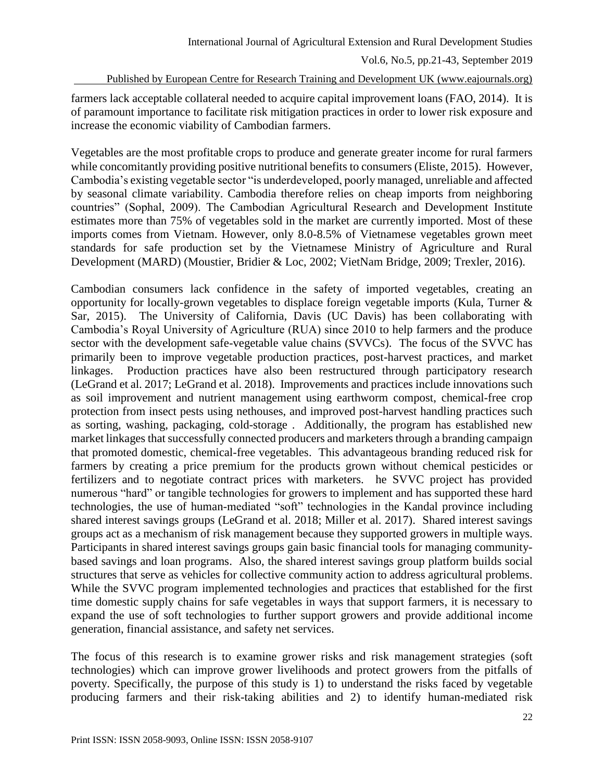Published by European Centre for Research Training and Development UK (www.eajournals.org)

farmers lack acceptable collateral needed to acquire capital improvement loans (FAO, 2014). It is of paramount importance to facilitate risk mitigation practices in order to lower risk exposure and increase the economic viability of Cambodian farmers.

Vegetables are the most profitable crops to produce and generate greater income for rural farmers while concomitantly providing positive nutritional benefits to consumers (Eliste, 2015). However, Cambodia's existing vegetable sector "is underdeveloped, poorly managed, unreliable and affected by seasonal climate variability. Cambodia therefore relies on cheap imports from neighboring countries" (Sophal, 2009). The Cambodian Agricultural Research and Development Institute estimates more than 75% of vegetables sold in the market are currently imported. Most of these imports comes from Vietnam. However, only 8.0-8.5% of Vietnamese vegetables grown meet standards for safe production set by the Vietnamese Ministry of Agriculture and Rural Development (MARD) (Moustier, Bridier & Loc, 2002; VietNam Bridge, 2009; Trexler, 2016).

Cambodian consumers lack confidence in the safety of imported vegetables, creating an opportunity for locally-grown vegetables to displace foreign vegetable imports (Kula, Turner & Sar, 2015). The University of California, Davis (UC Davis) has been collaborating with Cambodia's Royal University of Agriculture (RUA) since 2010 to help farmers and the produce sector with the development safe-vegetable value chains (SVVCs). The focus of the SVVC has primarily been to improve vegetable production practices, post-harvest practices, and market linkages. Production practices have also been restructured through participatory research (LeGrand et al. 2017; LeGrand et al. 2018). Improvements and practices include innovations such as soil improvement and nutrient management using earthworm compost, chemical-free crop protection from insect pests using nethouses, and improved post-harvest handling practices such as sorting, washing, packaging, cold-storage . Additionally, the program has established new market linkages that successfully connected producers and marketers through a branding campaign that promoted domestic, chemical-free vegetables. This advantageous branding reduced risk for farmers by creating a price premium for the products grown without chemical pesticides or fertilizers and to negotiate contract prices with marketers. he SVVC project has provided numerous "hard" or tangible technologies for growers to implement and has supported these hard technologies, the use of human-mediated "soft" technologies in the Kandal province including shared interest savings groups (LeGrand et al. 2018; Miller et al. 2017). Shared interest savings groups act as a mechanism of risk management because they supported growers in multiple ways. Participants in shared interest savings groups gain basic financial tools for managing communitybased savings and loan programs. Also, the shared interest savings group platform builds social structures that serve as vehicles for collective community action to address agricultural problems. While the SVVC program implemented technologies and practices that established for the first time domestic supply chains for safe vegetables in ways that support farmers, it is necessary to expand the use of soft technologies to further support growers and provide additional income generation, financial assistance, and safety net services.

The focus of this research is to examine grower risks and risk management strategies (soft technologies) which can improve grower livelihoods and protect growers from the pitfalls of poverty. Specifically, the purpose of this study is 1) to understand the risks faced by vegetable producing farmers and their risk-taking abilities and 2) to identify human-mediated risk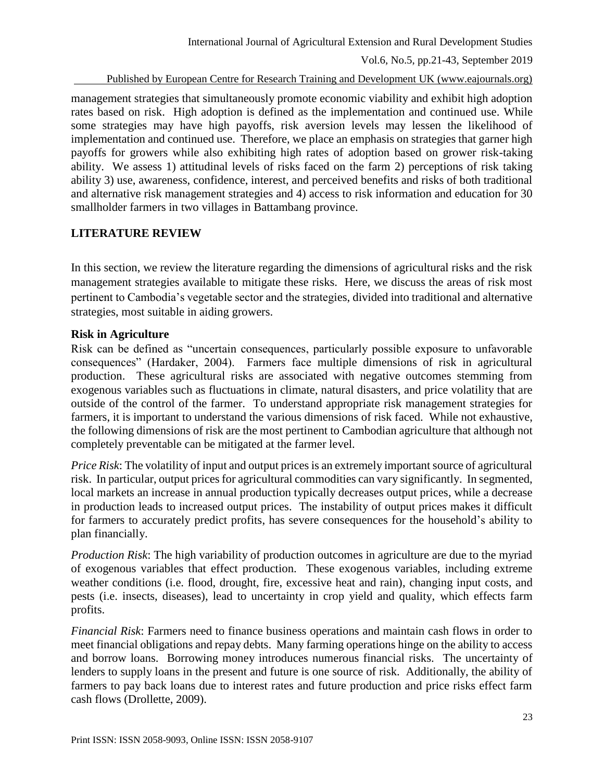Published by European Centre for Research Training and Development UK (www.eajournals.org)

management strategies that simultaneously promote economic viability and exhibit high adoption rates based on risk. High adoption is defined as the implementation and continued use. While some strategies may have high payoffs, risk aversion levels may lessen the likelihood of implementation and continued use. Therefore, we place an emphasis on strategies that garner high payoffs for growers while also exhibiting high rates of adoption based on grower risk-taking ability. We assess 1) attitudinal levels of risks faced on the farm 2) perceptions of risk taking ability 3) use, awareness, confidence, interest, and perceived benefits and risks of both traditional and alternative risk management strategies and 4) access to risk information and education for 30 smallholder farmers in two villages in Battambang province.

## **LITERATURE REVIEW**

In this section, we review the literature regarding the dimensions of agricultural risks and the risk management strategies available to mitigate these risks. Here, we discuss the areas of risk most pertinent to Cambodia's vegetable sector and the strategies, divided into traditional and alternative strategies, most suitable in aiding growers.

## **Risk in Agriculture**

Risk can be defined as "uncertain consequences, particularly possible exposure to unfavorable consequences" (Hardaker, 2004). Farmers face multiple dimensions of risk in agricultural production. These agricultural risks are associated with negative outcomes stemming from exogenous variables such as fluctuations in climate, natural disasters, and price volatility that are outside of the control of the farmer. To understand appropriate risk management strategies for farmers, it is important to understand the various dimensions of risk faced. While not exhaustive, the following dimensions of risk are the most pertinent to Cambodian agriculture that although not completely preventable can be mitigated at the farmer level.

*Price Risk*: The volatility of input and output prices is an extremely important source of agricultural risk. In particular, output prices for agricultural commodities can vary significantly. In segmented, local markets an increase in annual production typically decreases output prices, while a decrease in production leads to increased output prices. The instability of output prices makes it difficult for farmers to accurately predict profits, has severe consequences for the household's ability to plan financially.

*Production Risk*: The high variability of production outcomes in agriculture are due to the myriad of exogenous variables that effect production. These exogenous variables, including extreme weather conditions (i.e. flood, drought, fire, excessive heat and rain), changing input costs, and pests (i.e. insects, diseases), lead to uncertainty in crop yield and quality, which effects farm profits.

*Financial Risk*: Farmers need to finance business operations and maintain cash flows in order to meet financial obligations and repay debts. Many farming operations hinge on the ability to access and borrow loans. Borrowing money introduces numerous financial risks. The uncertainty of lenders to supply loans in the present and future is one source of risk. Additionally, the ability of farmers to pay back loans due to interest rates and future production and price risks effect farm cash flows (Drollette, 2009).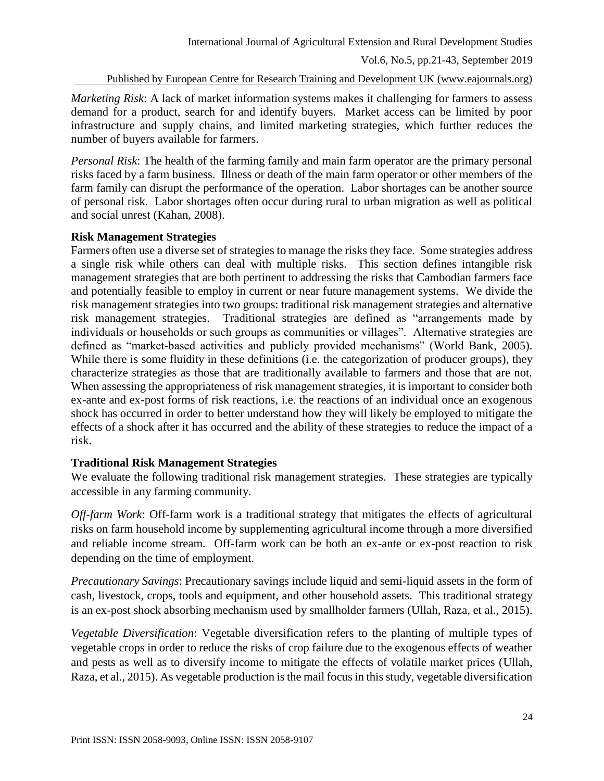Published by European Centre for Research Training and Development UK (www.eajournals.org)

*Marketing Risk*: A lack of market information systems makes it challenging for farmers to assess demand for a product, search for and identify buyers. Market access can be limited by poor infrastructure and supply chains, and limited marketing strategies, which further reduces the number of buyers available for farmers.

*Personal Risk*: The health of the farming family and main farm operator are the primary personal risks faced by a farm business. Illness or death of the main farm operator or other members of the farm family can disrupt the performance of the operation. Labor shortages can be another source of personal risk. Labor shortages often occur during rural to urban migration as well as political and social unrest (Kahan, 2008).

### **Risk Management Strategies**

Farmers often use a diverse set of strategies to manage the risks they face. Some strategies address a single risk while others can deal with multiple risks. This section defines intangible risk management strategies that are both pertinent to addressing the risks that Cambodian farmers face and potentially feasible to employ in current or near future management systems. We divide the risk management strategies into two groups: traditional risk management strategies and alternative risk management strategies. Traditional strategies are defined as "arrangements made by individuals or households or such groups as communities or villages". Alternative strategies are defined as "market-based activities and publicly provided mechanisms" (World Bank, 2005). While there is some fluidity in these definitions (i.e. the categorization of producer groups), they characterize strategies as those that are traditionally available to farmers and those that are not. When assessing the appropriateness of risk management strategies, it is important to consider both ex-ante and ex-post forms of risk reactions, i.e. the reactions of an individual once an exogenous shock has occurred in order to better understand how they will likely be employed to mitigate the effects of a shock after it has occurred and the ability of these strategies to reduce the impact of a risk.

## **Traditional Risk Management Strategies**

We evaluate the following traditional risk management strategies. These strategies are typically accessible in any farming community.

*Off-farm Work*: Off-farm work is a traditional strategy that mitigates the effects of agricultural risks on farm household income by supplementing agricultural income through a more diversified and reliable income stream. Off-farm work can be both an ex-ante or ex-post reaction to risk depending on the time of employment.

*Precautionary Savings*: Precautionary savings include liquid and semi-liquid assets in the form of cash, livestock, crops, tools and equipment, and other household assets. This traditional strategy is an ex-post shock absorbing mechanism used by smallholder farmers (Ullah, Raza, et al., 2015).

*Vegetable Diversification*: Vegetable diversification refers to the planting of multiple types of vegetable crops in order to reduce the risks of crop failure due to the exogenous effects of weather and pests as well as to diversify income to mitigate the effects of volatile market prices (Ullah, Raza, et al., 2015). As vegetable production is the mail focus in this study, vegetable diversification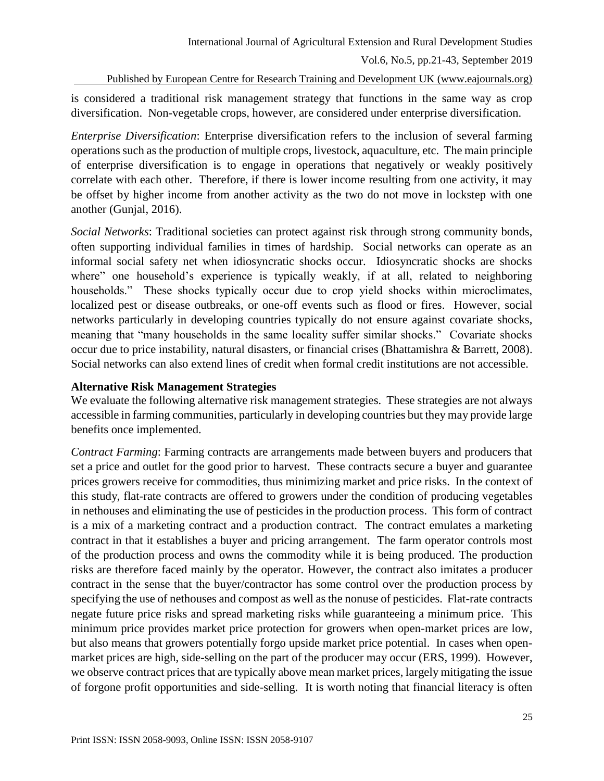Published by European Centre for Research Training and Development UK (www.eajournals.org)

is considered a traditional risk management strategy that functions in the same way as crop diversification. Non-vegetable crops, however, are considered under enterprise diversification.

*Enterprise Diversification*: Enterprise diversification refers to the inclusion of several farming operations such as the production of multiple crops, livestock, aquaculture, etc. The main principle of enterprise diversification is to engage in operations that negatively or weakly positively correlate with each other. Therefore, if there is lower income resulting from one activity, it may be offset by higher income from another activity as the two do not move in lockstep with one another (Gunjal, 2016).

*Social Networks*: Traditional societies can protect against risk through strong community bonds, often supporting individual families in times of hardship. Social networks can operate as an informal social safety net when idiosyncratic shocks occur. Idiosyncratic shocks are shocks where" one household's experience is typically weakly, if at all, related to neighboring households." These shocks typically occur due to crop yield shocks within microclimates, localized pest or disease outbreaks, or one-off events such as flood or fires. However, social networks particularly in developing countries typically do not ensure against covariate shocks, meaning that "many households in the same locality suffer similar shocks." Covariate shocks occur due to price instability, natural disasters, or financial crises (Bhattamishra & Barrett, 2008). Social networks can also extend lines of credit when formal credit institutions are not accessible.

## **Alternative Risk Management Strategies**

We evaluate the following alternative risk management strategies. These strategies are not always accessible in farming communities, particularly in developing countries but they may provide large benefits once implemented.

*Contract Farming*: Farming contracts are arrangements made between buyers and producers that set a price and outlet for the good prior to harvest. These contracts secure a buyer and guarantee prices growers receive for commodities, thus minimizing market and price risks. In the context of this study, flat-rate contracts are offered to growers under the condition of producing vegetables in nethouses and eliminating the use of pesticides in the production process. This form of contract is a mix of a marketing contract and a production contract. The contract emulates a marketing contract in that it establishes a buyer and pricing arrangement. The farm operator controls most of the production process and owns the commodity while it is being produced. The production risks are therefore faced mainly by the operator. However, the contract also imitates a producer contract in the sense that the buyer/contractor has some control over the production process by specifying the use of nethouses and compost as well as the nonuse of pesticides. Flat-rate contracts negate future price risks and spread marketing risks while guaranteeing a minimum price. This minimum price provides market price protection for growers when open-market prices are low, but also means that growers potentially forgo upside market price potential. In cases when openmarket prices are high, side-selling on the part of the producer may occur (ERS, 1999). However, we observe contract prices that are typically above mean market prices, largely mitigating the issue of forgone profit opportunities and side-selling. It is worth noting that financial literacy is often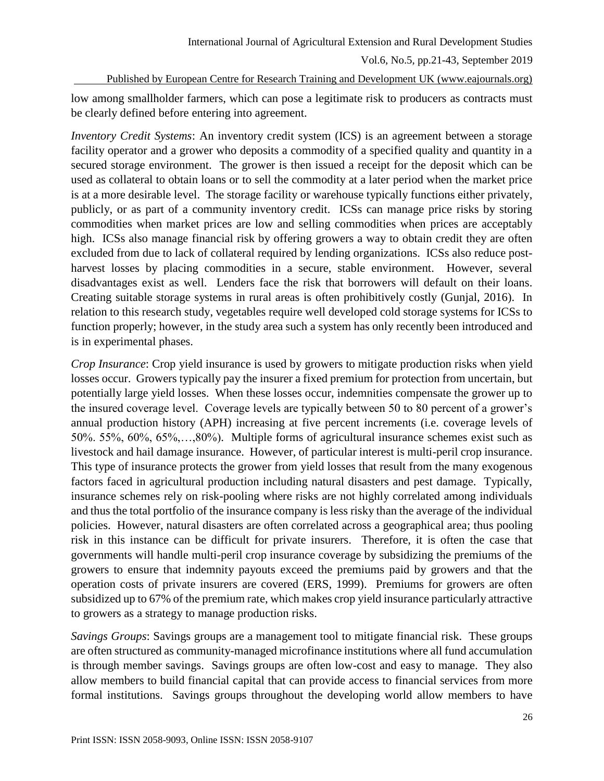Published by European Centre for Research Training and Development UK (www.eajournals.org)

low among smallholder farmers, which can pose a legitimate risk to producers as contracts must be clearly defined before entering into agreement.

*Inventory Credit Systems*: An inventory credit system (ICS) is an agreement between a storage facility operator and a grower who deposits a commodity of a specified quality and quantity in a secured storage environment. The grower is then issued a receipt for the deposit which can be used as collateral to obtain loans or to sell the commodity at a later period when the market price is at a more desirable level. The storage facility or warehouse typically functions either privately, publicly, or as part of a community inventory credit. ICSs can manage price risks by storing commodities when market prices are low and selling commodities when prices are acceptably high. ICSs also manage financial risk by offering growers a way to obtain credit they are often excluded from due to lack of collateral required by lending organizations. ICSs also reduce postharvest losses by placing commodities in a secure, stable environment. However, several disadvantages exist as well. Lenders face the risk that borrowers will default on their loans. Creating suitable storage systems in rural areas is often prohibitively costly (Gunjal, 2016). In relation to this research study, vegetables require well developed cold storage systems for ICSs to function properly; however, in the study area such a system has only recently been introduced and is in experimental phases.

*Crop Insurance*: Crop yield insurance is used by growers to mitigate production risks when yield losses occur. Growers typically pay the insurer a fixed premium for protection from uncertain, but potentially large yield losses. When these losses occur, indemnities compensate the grower up to the insured coverage level. Coverage levels are typically between 50 to 80 percent of a grower's annual production history (APH) increasing at five percent increments (i.e. coverage levels of 50%. 55%, 60%, 65%,…,80%). Multiple forms of agricultural insurance schemes exist such as livestock and hail damage insurance. However, of particular interest is multi-peril crop insurance. This type of insurance protects the grower from yield losses that result from the many exogenous factors faced in agricultural production including natural disasters and pest damage. Typically, insurance schemes rely on risk-pooling where risks are not highly correlated among individuals and thus the total portfolio of the insurance company is less risky than the average of the individual policies. However, natural disasters are often correlated across a geographical area; thus pooling risk in this instance can be difficult for private insurers. Therefore, it is often the case that governments will handle multi-peril crop insurance coverage by subsidizing the premiums of the growers to ensure that indemnity payouts exceed the premiums paid by growers and that the operation costs of private insurers are covered (ERS, 1999). Premiums for growers are often subsidized up to 67% of the premium rate, which makes crop yield insurance particularly attractive to growers as a strategy to manage production risks.

*Savings Groups*: Savings groups are a management tool to mitigate financial risk. These groups are often structured as community-managed microfinance institutions where all fund accumulation is through member savings. Savings groups are often low-cost and easy to manage. They also allow members to build financial capital that can provide access to financial services from more formal institutions. Savings groups throughout the developing world allow members to have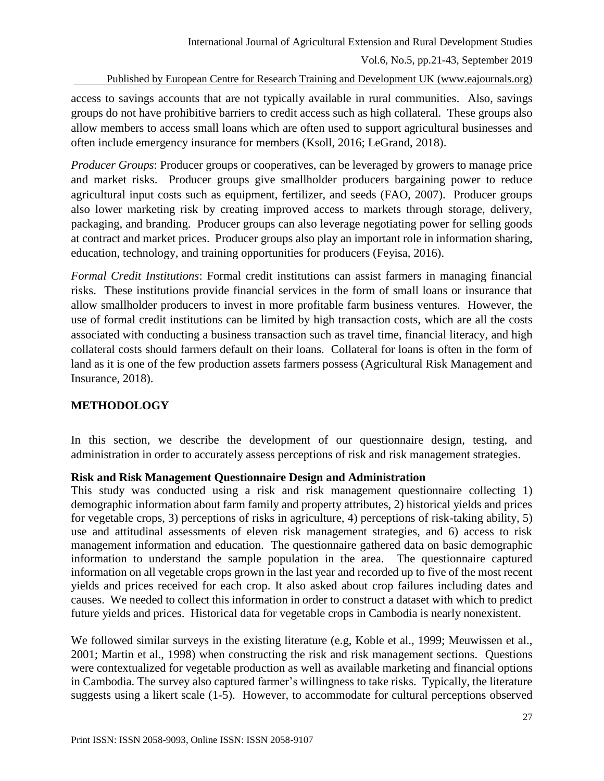Published by European Centre for Research Training and Development UK (www.eajournals.org)

access to savings accounts that are not typically available in rural communities. Also, savings groups do not have prohibitive barriers to credit access such as high collateral. These groups also allow members to access small loans which are often used to support agricultural businesses and often include emergency insurance for members (Ksoll, 2016; LeGrand, 2018).

*Producer Groups*: Producer groups or cooperatives, can be leveraged by growers to manage price and market risks. Producer groups give smallholder producers bargaining power to reduce agricultural input costs such as equipment, fertilizer, and seeds (FAO, 2007). Producer groups also lower marketing risk by creating improved access to markets through storage, delivery, packaging, and branding. Producer groups can also leverage negotiating power for selling goods at contract and market prices. Producer groups also play an important role in information sharing, education, technology, and training opportunities for producers (Feyisa, 2016).

*Formal Credit Institutions*: Formal credit institutions can assist farmers in managing financial risks. These institutions provide financial services in the form of small loans or insurance that allow smallholder producers to invest in more profitable farm business ventures. However, the use of formal credit institutions can be limited by high transaction costs, which are all the costs associated with conducting a business transaction such as travel time, financial literacy, and high collateral costs should farmers default on their loans. Collateral for loans is often in the form of land as it is one of the few production assets farmers possess (Agricultural Risk Management and Insurance, 2018).

## **METHODOLOGY**

In this section, we describe the development of our questionnaire design, testing, and administration in order to accurately assess perceptions of risk and risk management strategies.

## **Risk and Risk Management Questionnaire Design and Administration**

This study was conducted using a risk and risk management questionnaire collecting 1) demographic information about farm family and property attributes, 2) historical yields and prices for vegetable crops, 3) perceptions of risks in agriculture, 4) perceptions of risk-taking ability, 5) use and attitudinal assessments of eleven risk management strategies, and 6) access to risk management information and education. The questionnaire gathered data on basic demographic information to understand the sample population in the area. The questionnaire captured information on all vegetable crops grown in the last year and recorded up to five of the most recent yields and prices received for each crop. It also asked about crop failures including dates and causes. We needed to collect this information in order to construct a dataset with which to predict future yields and prices. Historical data for vegetable crops in Cambodia is nearly nonexistent.

We followed similar surveys in the existing literature (e.g, Koble et al., 1999; Meuwissen et al., 2001; Martin et al., 1998) when constructing the risk and risk management sections. Questions were contextualized for vegetable production as well as available marketing and financial options in Cambodia. The survey also captured farmer's willingness to take risks. Typically, the literature suggests using a likert scale (1-5). However, to accommodate for cultural perceptions observed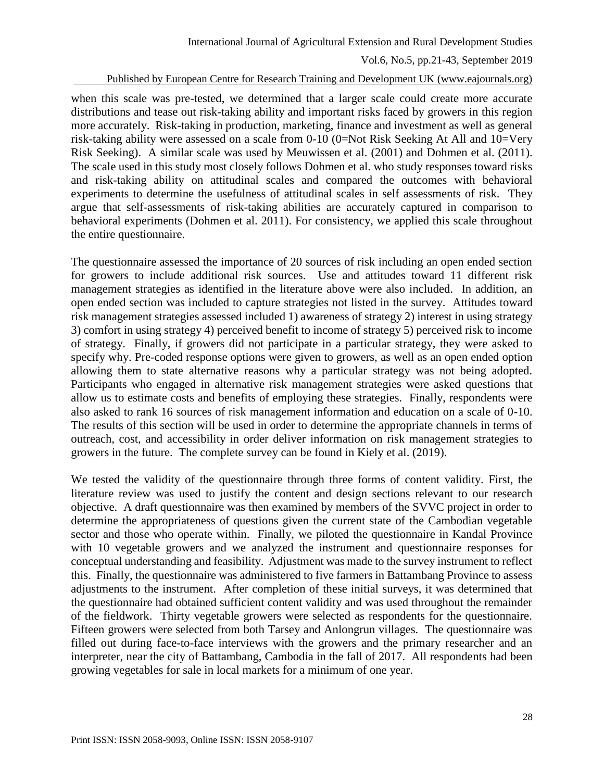#### Published by European Centre for Research Training and Development UK (www.eajournals.org)

when this scale was pre-tested, we determined that a larger scale could create more accurate distributions and tease out risk-taking ability and important risks faced by growers in this region more accurately. Risk-taking in production, marketing, finance and investment as well as general risk-taking ability were assessed on a scale from 0-10 (0=Not Risk Seeking At All and 10=Very Risk Seeking). A similar scale was used by Meuwissen et al. (2001) and Dohmen et al. (2011). The scale used in this study most closely follows Dohmen et al. who study responses toward risks and risk-taking ability on attitudinal scales and compared the outcomes with behavioral experiments to determine the usefulness of attitudinal scales in self assessments of risk. They argue that self-assessments of risk-taking abilities are accurately captured in comparison to behavioral experiments (Dohmen et al. 2011). For consistency, we applied this scale throughout the entire questionnaire.

The questionnaire assessed the importance of 20 sources of risk including an open ended section for growers to include additional risk sources. Use and attitudes toward 11 different risk management strategies as identified in the literature above were also included. In addition, an open ended section was included to capture strategies not listed in the survey. Attitudes toward risk management strategies assessed included 1) awareness of strategy 2) interest in using strategy 3) comfort in using strategy 4) perceived benefit to income of strategy 5) perceived risk to income of strategy. Finally, if growers did not participate in a particular strategy, they were asked to specify why. Pre-coded response options were given to growers, as well as an open ended option allowing them to state alternative reasons why a particular strategy was not being adopted. Participants who engaged in alternative risk management strategies were asked questions that allow us to estimate costs and benefits of employing these strategies. Finally, respondents were also asked to rank 16 sources of risk management information and education on a scale of 0-10. The results of this section will be used in order to determine the appropriate channels in terms of outreach, cost, and accessibility in order deliver information on risk management strategies to growers in the future. The complete survey can be found in Kiely et al. (2019).

We tested the validity of the questionnaire through three forms of content validity. First, the literature review was used to justify the content and design sections relevant to our research objective. A draft questionnaire was then examined by members of the SVVC project in order to determine the appropriateness of questions given the current state of the Cambodian vegetable sector and those who operate within. Finally, we piloted the questionnaire in Kandal Province with 10 vegetable growers and we analyzed the instrument and questionnaire responses for conceptual understanding and feasibility. Adjustment was made to the survey instrument to reflect this. Finally, the questionnaire was administered to five farmers in Battambang Province to assess adjustments to the instrument. After completion of these initial surveys, it was determined that the questionnaire had obtained sufficient content validity and was used throughout the remainder of the fieldwork. Thirty vegetable growers were selected as respondents for the questionnaire. Fifteen growers were selected from both Tarsey and Anlongrun villages. The questionnaire was filled out during face-to-face interviews with the growers and the primary researcher and an interpreter, near the city of Battambang, Cambodia in the fall of 2017. All respondents had been growing vegetables for sale in local markets for a minimum of one year.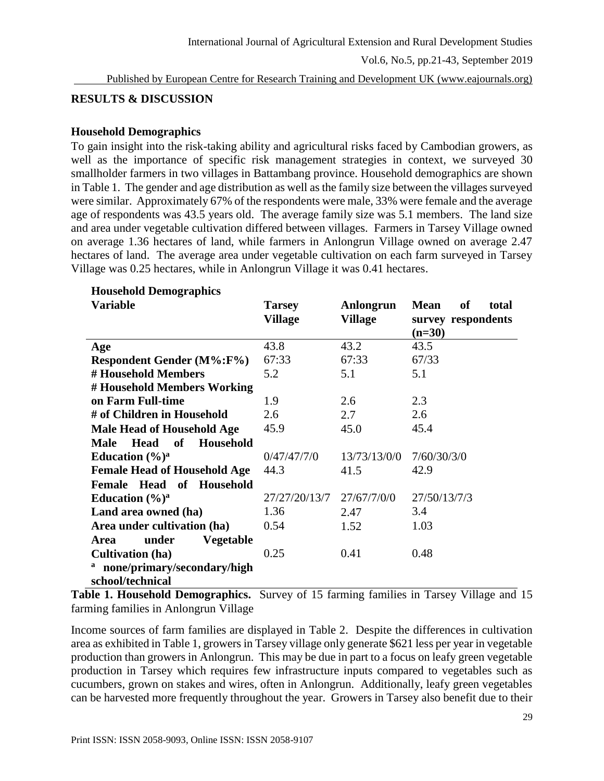Published by European Centre for Research Training and Development UK (www.eajournals.org)

### **RESULTS & DISCUSSION**

#### **Household Demographics**

To gain insight into the risk-taking ability and agricultural risks faced by Cambodian growers, as well as the importance of specific risk management strategies in context, we surveyed 30 smallholder farmers in two villages in Battambang province. Household demographics are shown in Table 1. The gender and age distribution as well as the family size between the villages surveyed were similar. Approximately 67% of the respondents were male, 33% were female and the average age of respondents was 43.5 years old. The average family size was 5.1 members. The land size and area under vegetable cultivation differed between villages. Farmers in Tarsey Village owned on average 1.36 hectares of land, while farmers in Anlongrun Village owned on average 2.47 hectares of land. The average area under vegetable cultivation on each farm surveyed in Tarsey Village was 0.25 hectares, while in Anlongrun Village it was 0.41 hectares.

| <b>Variable</b>                                      | <b>Tarsey</b><br><b>Village</b> | Anlongrun<br><b>Village</b> | <b>Mean</b><br><b>of</b><br>total<br>survey respondents<br>$(n=30)$ |  |
|------------------------------------------------------|---------------------------------|-----------------------------|---------------------------------------------------------------------|--|
| Age                                                  | 43.8                            | 43.2                        | 43.5                                                                |  |
| <b>Respondent Gender (M%:F%)</b>                     | 67:33                           | 67:33                       | 67/33                                                               |  |
| # Household Members                                  | 5.2                             | 5.1                         | 5.1                                                                 |  |
| # Household Members Working                          |                                 |                             |                                                                     |  |
| on Farm Full-time                                    | 1.9                             | 2.6                         | 2.3                                                                 |  |
| # of Children in Household                           | 2.6                             | 2.7                         | 2.6                                                                 |  |
| <b>Male Head of Household Age</b>                    | 45.9                            | 45.0                        | 45.4                                                                |  |
| Household<br><b>Head</b><br>$\bf{of}$<br><b>Male</b> |                                 |                             |                                                                     |  |
| Education $(\frac{6}{6})^a$                          | 0/47/47/7/0                     | 13/73/13/0/0                | 7/60/30/3/0                                                         |  |
| <b>Female Head of Household Age</b>                  | 44.3                            | 41.5                        | 42.9                                                                |  |
| Female Head of Household                             |                                 |                             |                                                                     |  |
| Education $(\frac{6}{6})^a$                          | 27/27/20/13/7                   | 27/67/7/0/0                 | 27/50/13/7/3                                                        |  |
| Land area owned (ha)                                 | 1.36                            | 2.47                        | 3.4                                                                 |  |
| Area under cultivation (ha)                          | 0.54                            | 1.52                        | 1.03                                                                |  |
| under<br><b>Vegetable</b><br>Area                    |                                 |                             |                                                                     |  |
| <b>Cultivation</b> (ha)                              | 0.25                            | 0.41                        | 0.48                                                                |  |
| none/primary/secondary/high                          |                                 |                             |                                                                     |  |
| school/technical                                     |                                 |                             |                                                                     |  |

## **Household Demographics**

**Table 1. Household Demographics.** Survey of 15 farming families in Tarsey Village and 15 farming families in Anlongrun Village

Income sources of farm families are displayed in Table 2. Despite the differences in cultivation area as exhibited in Table 1, growers in Tarsey village only generate \$621 less per year in vegetable production than growers in Anlongrun. This may be due in part to a focus on leafy green vegetable production in Tarsey which requires few infrastructure inputs compared to vegetables such as cucumbers, grown on stakes and wires, often in Anlongrun. Additionally, leafy green vegetables can be harvested more frequently throughout the year. Growers in Tarsey also benefit due to their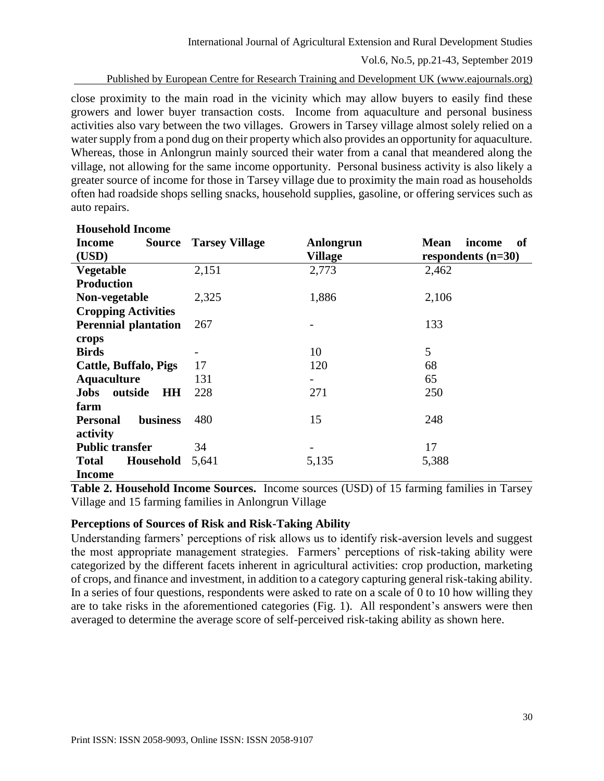Published by European Centre for Research Training and Development UK (www.eajournals.org)

close proximity to the main road in the vicinity which may allow buyers to easily find these growers and lower buyer transaction costs. Income from aquaculture and personal business activities also vary between the two villages. Growers in Tarsey village almost solely relied on a water supply from a pond dug on their property which also provides an opportunity for aquaculture. Whereas, those in Anlongrun mainly sourced their water from a canal that meandered along the village, not allowing for the same income opportunity. Personal business activity is also likely a greater source of income for those in Tarsey village due to proximity the main road as households often had roadside shops selling snacks, household supplies, gasoline, or offering services such as auto repairs.

| <b>Household Income</b>             |                       |           |                             |
|-------------------------------------|-----------------------|-----------|-----------------------------|
| Source<br>Income                    | <b>Tarsey Village</b> | Anlongrun | <b>Mean</b><br>income<br>of |
| (USD)                               |                       | Village   | respondents $(n=30)$        |
| <b>Vegetable</b>                    | 2,151                 | 2,773     | 2,462                       |
| <b>Production</b>                   |                       |           |                             |
| Non-vegetable                       | 2,325                 | 1,886     | 2,106                       |
| <b>Cropping Activities</b>          |                       |           |                             |
| <b>Perennial plantation</b>         | 267                   |           | 133                         |
| crops                               |                       |           |                             |
| <b>Birds</b>                        |                       | 10        | 5                           |
| <b>Cattle, Buffalo, Pigs</b>        | 17                    | 120       | 68                          |
| <b>Aquaculture</b>                  | 131                   |           | 65                          |
| <b>HH</b><br>outside<br><b>Jobs</b> | 228                   | 271       | 250                         |
| farm                                |                       |           |                             |
| <b>business</b><br><b>Personal</b>  | 480                   | 15        | 248                         |
| activity                            |                       |           |                             |
| <b>Public transfer</b>              | 34                    |           | 17                          |
| Household<br><b>Total</b>           | 5,641                 | 5,135     | 5,388                       |
| <b>Income</b>                       |                       |           |                             |

**Table 2. Household Income Sources.** Income sources (USD) of 15 farming families in Tarsey Village and 15 farming families in Anlongrun Village

#### **Perceptions of Sources of Risk and Risk-Taking Ability**

Understanding farmers' perceptions of risk allows us to identify risk-aversion levels and suggest the most appropriate management strategies. Farmers' perceptions of risk-taking ability were categorized by the different facets inherent in agricultural activities: crop production, marketing of crops, and finance and investment, in addition to a category capturing general risk-taking ability. In a series of four questions, respondents were asked to rate on a scale of 0 to 10 how willing they are to take risks in the aforementioned categories (Fig. 1). All respondent's answers were then averaged to determine the average score of self-perceived risk-taking ability as shown here.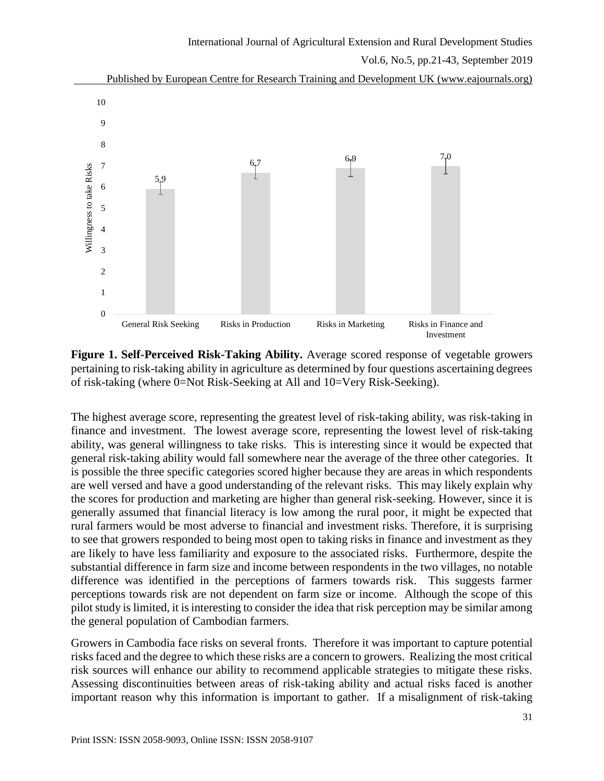



The highest average score, representing the greatest level of risk-taking ability, was risk-taking in finance and investment. The lowest average score, representing the lowest level of risk-taking ability, was general willingness to take risks. This is interesting since it would be expected that general risk-taking ability would fall somewhere near the average of the three other categories. It is possible the three specific categories scored higher because they are areas in which respondents are well versed and have a good understanding of the relevant risks. This may likely explain why the scores for production and marketing are higher than general risk-seeking. However, since it is generally assumed that financial literacy is low among the rural poor, it might be expected that rural farmers would be most adverse to financial and investment risks. Therefore, it is surprising to see that growers responded to being most open to taking risks in finance and investment as they are likely to have less familiarity and exposure to the associated risks. Furthermore, despite the substantial difference in farm size and income between respondents in the two villages, no notable difference was identified in the perceptions of farmers towards risk. This suggests farmer perceptions towards risk are not dependent on farm size or income. Although the scope of this pilot study is limited, it is interesting to consider the idea that risk perception may be similar among the general population of Cambodian farmers.

Growers in Cambodia face risks on several fronts. Therefore it was important to capture potential risks faced and the degree to which these risks are a concern to growers. Realizing the most critical risk sources will enhance our ability to recommend applicable strategies to mitigate these risks. Assessing discontinuities between areas of risk-taking ability and actual risks faced is another important reason why this information is important to gather. If a misalignment of risk-taking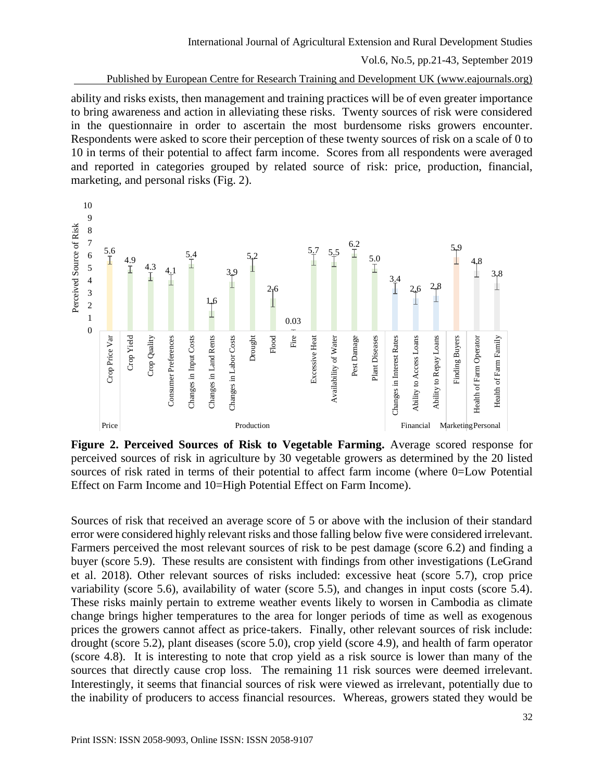#### Published by European Centre for Research Training and Development UK (www.eajournals.org)

ability and risks exists, then management and training practices will be of even greater importance to bring awareness and action in alleviating these risks. Twenty sources of risk were considered in the questionnaire in order to ascertain the most burdensome risks growers encounter. Respondents were asked to score their perception of these twenty sources of risk on a scale of 0 to 10 in terms of their potential to affect farm income. Scores from all respondents were averaged and reported in categories grouped by related source of risk: price, production, financial, marketing, and personal risks (Fig. 2).



**Figure 2. Perceived Sources of Risk to Vegetable Farming.** Average scored response for perceived sources of risk in agriculture by 30 vegetable growers as determined by the 20 listed sources of risk rated in terms of their potential to affect farm income (where 0=Low Potential Effect on Farm Income and 10=High Potential Effect on Farm Income).

Sources of risk that received an average score of 5 or above with the inclusion of their standard error were considered highly relevant risks and those falling below five were considered irrelevant. Farmers perceived the most relevant sources of risk to be pest damage (score 6.2) and finding a buyer (score 5.9). These results are consistent with findings from other investigations (LeGrand et al. 2018). Other relevant sources of risks included: excessive heat (score 5.7), crop price variability (score 5.6), availability of water (score 5.5), and changes in input costs (score 5.4). These risks mainly pertain to extreme weather events likely to worsen in Cambodia as climate change brings higher temperatures to the area for longer periods of time as well as exogenous prices the growers cannot affect as price-takers. Finally, other relevant sources of risk include: drought (score 5.2), plant diseases (score 5.0), crop yield (score 4.9), and health of farm operator (score 4.8). It is interesting to note that crop yield as a risk source is lower than many of the sources that directly cause crop loss. The remaining 11 risk sources were deemed irrelevant. Interestingly, it seems that financial sources of risk were viewed as irrelevant, potentially due to the inability of producers to access financial resources. Whereas, growers stated they would be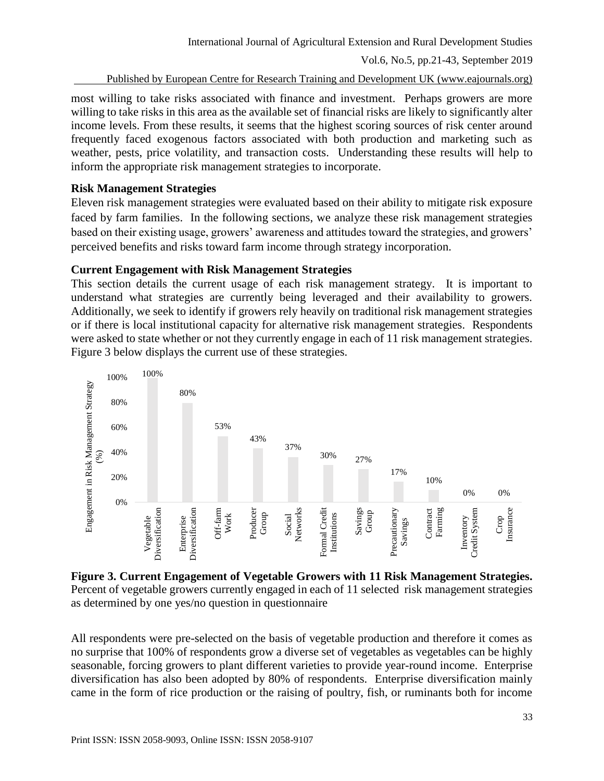Published by European Centre for Research Training and Development UK (www.eajournals.org)

most willing to take risks associated with finance and investment. Perhaps growers are more willing to take risks in this area as the available set of financial risks are likely to significantly alter income levels. From these results, it seems that the highest scoring sources of risk center around frequently faced exogenous factors associated with both production and marketing such as weather, pests, price volatility, and transaction costs. Understanding these results will help to inform the appropriate risk management strategies to incorporate.

### **Risk Management Strategies**

Eleven risk management strategies were evaluated based on their ability to mitigate risk exposure faced by farm families. In the following sections, we analyze these risk management strategies based on their existing usage, growers' awareness and attitudes toward the strategies, and growers' perceived benefits and risks toward farm income through strategy incorporation.

### **Current Engagement with Risk Management Strategies**

This section details the current usage of each risk management strategy. It is important to understand what strategies are currently being leveraged and their availability to growers. Additionally, we seek to identify if growers rely heavily on traditional risk management strategies or if there is local institutional capacity for alternative risk management strategies. Respondents were asked to state whether or not they currently engage in each of 11 risk management strategies. Figure 3 below displays the current use of these strategies.



**Figure 3. Current Engagement of Vegetable Growers with 11 Risk Management Strategies.**  Percent of vegetable growers currently engaged in each of 11 selected risk management strategies as determined by one yes/no question in questionnaire

All respondents were pre-selected on the basis of vegetable production and therefore it comes as no surprise that 100% of respondents grow a diverse set of vegetables as vegetables can be highly seasonable, forcing growers to plant different varieties to provide year-round income. Enterprise diversification has also been adopted by 80% of respondents. Enterprise diversification mainly came in the form of rice production or the raising of poultry, fish, or ruminants both for income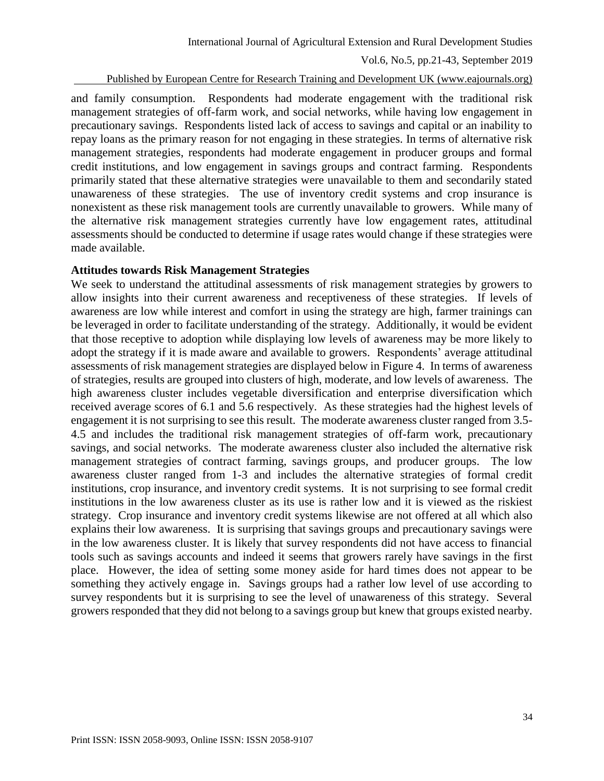Published by European Centre for Research Training and Development UK (www.eajournals.org)

and family consumption. Respondents had moderate engagement with the traditional risk management strategies of off-farm work, and social networks, while having low engagement in precautionary savings. Respondents listed lack of access to savings and capital or an inability to repay loans as the primary reason for not engaging in these strategies. In terms of alternative risk management strategies, respondents had moderate engagement in producer groups and formal credit institutions, and low engagement in savings groups and contract farming. Respondents primarily stated that these alternative strategies were unavailable to them and secondarily stated unawareness of these strategies. The use of inventory credit systems and crop insurance is nonexistent as these risk management tools are currently unavailable to growers. While many of the alternative risk management strategies currently have low engagement rates, attitudinal assessments should be conducted to determine if usage rates would change if these strategies were made available.

#### **Attitudes towards Risk Management Strategies**

We seek to understand the attitudinal assessments of risk management strategies by growers to allow insights into their current awareness and receptiveness of these strategies. If levels of awareness are low while interest and comfort in using the strategy are high, farmer trainings can be leveraged in order to facilitate understanding of the strategy. Additionally, it would be evident that those receptive to adoption while displaying low levels of awareness may be more likely to adopt the strategy if it is made aware and available to growers. Respondents' average attitudinal assessments of risk management strategies are displayed below in Figure 4. In terms of awareness of strategies, results are grouped into clusters of high, moderate, and low levels of awareness. The high awareness cluster includes vegetable diversification and enterprise diversification which received average scores of 6.1 and 5.6 respectively. As these strategies had the highest levels of engagement it is not surprising to see this result. The moderate awareness cluster ranged from 3.5- 4.5 and includes the traditional risk management strategies of off-farm work, precautionary savings, and social networks. The moderate awareness cluster also included the alternative risk management strategies of contract farming, savings groups, and producer groups. The low awareness cluster ranged from 1-3 and includes the alternative strategies of formal credit institutions, crop insurance, and inventory credit systems. It is not surprising to see formal credit institutions in the low awareness cluster as its use is rather low and it is viewed as the riskiest strategy. Crop insurance and inventory credit systems likewise are not offered at all which also explains their low awareness. It is surprising that savings groups and precautionary savings were in the low awareness cluster. It is likely that survey respondents did not have access to financial tools such as savings accounts and indeed it seems that growers rarely have savings in the first place. However, the idea of setting some money aside for hard times does not appear to be something they actively engage in. Savings groups had a rather low level of use according to survey respondents but it is surprising to see the level of unawareness of this strategy. Several growers responded that they did not belong to a savings group but knew that groups existed nearby.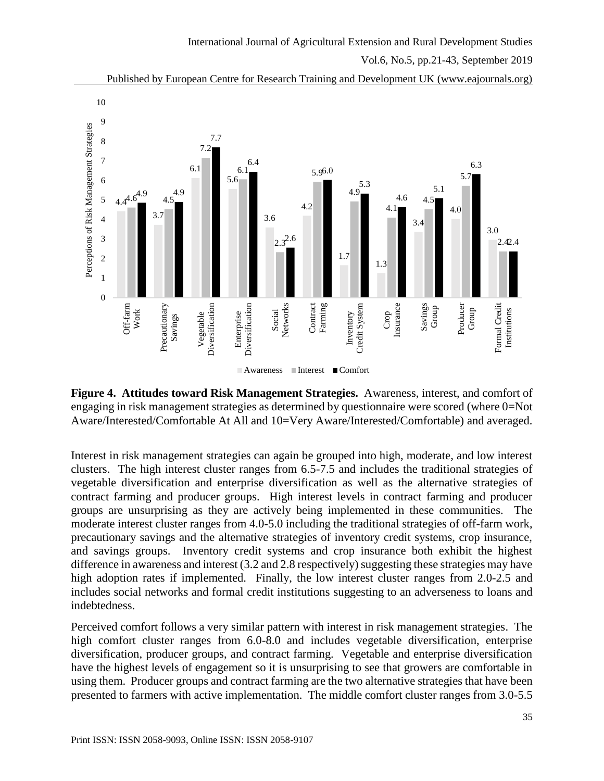



**Figure 4. Attitudes toward Risk Management Strategies.** Awareness, interest, and comfort of engaging in risk management strategies as determined by questionnaire were scored (where 0=Not Aware/Interested/Comfortable At All and 10=Very Aware/Interested/Comfortable) and averaged.

■ Awareness ■ Interest ■ Comfort

**Contract** Farming

Inventory Credit System

Crop Insurance

Savings Group

Producer Group

Formal Credit Institutions

Formal Credit

Interest in risk management strategies can again be grouped into high, moderate, and low interest clusters. The high interest cluster ranges from 6.5-7.5 and includes the traditional strategies of vegetable diversification and enterprise diversification as well as the alternative strategies of contract farming and producer groups. High interest levels in contract farming and producer groups are unsurprising as they are actively being implemented in these communities. The moderate interest cluster ranges from 4.0-5.0 including the traditional strategies of off-farm work, precautionary savings and the alternative strategies of inventory credit systems, crop insurance, and savings groups. Inventory credit systems and crop insurance both exhibit the highest difference in awareness and interest (3.2 and 2.8 respectively) suggesting these strategies may have high adoption rates if implemented. Finally, the low interest cluster ranges from 2.0-2.5 and includes social networks and formal credit institutions suggesting to an adverseness to loans and indebtedness.

Perceived comfort follows a very similar pattern with interest in risk management strategies. The high comfort cluster ranges from 6.0-8.0 and includes vegetable diversification, enterprise diversification, producer groups, and contract farming. Vegetable and enterprise diversification have the highest levels of engagement so it is unsurprising to see that growers are comfortable in using them. Producer groups and contract farming are the two alternative strategies that have been presented to farmers with active implementation. The middle comfort cluster ranges from 3.0-5.5

 $\overline{0}$ 

Off-farm Work

Precautionary Savings Vegetable<br>Diversification Diversification Enterprise<br>Diversification Diversification Social Networks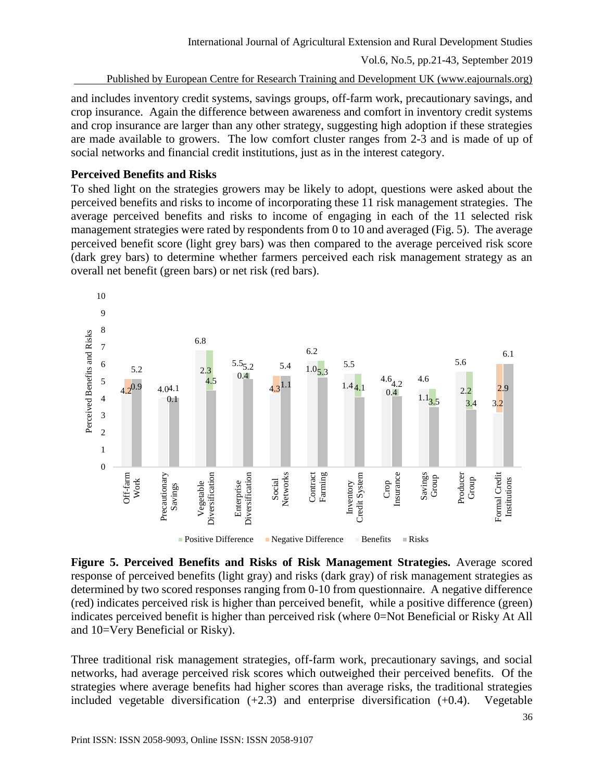Published by European Centre for Research Training and Development UK (www.eajournals.org)

and includes inventory credit systems, savings groups, off-farm work, precautionary savings, and crop insurance. Again the difference between awareness and comfort in inventory credit systems and crop insurance are larger than any other strategy, suggesting high adoption if these strategies are made available to growers. The low comfort cluster ranges from 2-3 and is made of up of social networks and financial credit institutions, just as in the interest category.

### **Perceived Benefits and Risks**

To shed light on the strategies growers may be likely to adopt, questions were asked about the perceived benefits and risks to income of incorporating these 11 risk management strategies. The average perceived benefits and risks to income of engaging in each of the 11 selected risk management strategies were rated by respondents from 0 to 10 and averaged (Fig. 5). The average perceived benefit score (light grey bars) was then compared to the average perceived risk score (dark grey bars) to determine whether farmers perceived each risk management strategy as an overall net benefit (green bars) or net risk (red bars).



**Figure 5. Perceived Benefits and Risks of Risk Management Strategies.** Average scored response of perceived benefits (light gray) and risks (dark gray) of risk management strategies as determined by two scored responses ranging from 0-10 from questionnaire. A negative difference (red) indicates perceived risk is higher than perceived benefit, while a positive difference (green) indicates perceived benefit is higher than perceived risk (where 0=Not Beneficial or Risky At All and 10=Very Beneficial or Risky).

Three traditional risk management strategies, off-farm work, precautionary savings, and social networks, had average perceived risk scores which outweighed their perceived benefits. Of the strategies where average benefits had higher scores than average risks, the traditional strategies included vegetable diversification  $(+2.3)$  and enterprise diversification  $(+0.4)$ . Vegetable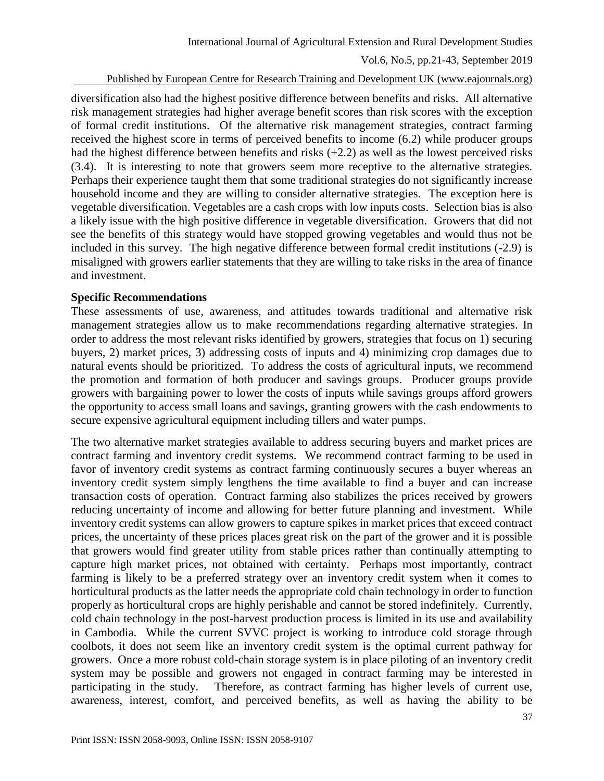Published by European Centre for Research Training and Development UK (www.eajournals.org)

diversification also had the highest positive difference between benefits and risks. All alternative risk management strategies had higher average benefit scores than risk scores with the exception of formal credit institutions. Of the alternative risk management strategies, contract farming received the highest score in terms of perceived benefits to income (6.2) while producer groups had the highest difference between benefits and risks (+2.2) as well as the lowest perceived risks (3.4). It is interesting to note that growers seem more receptive to the alternative strategies. Perhaps their experience taught them that some traditional strategies do not significantly increase household income and they are willing to consider alternative strategies. The exception here is vegetable diversification. Vegetables are a cash crops with low inputs costs. Selection bias is also a likely issue with the high positive difference in vegetable diversification. Growers that did not see the benefits of this strategy would have stopped growing vegetables and would thus not be included in this survey. The high negative difference between formal credit institutions (-2.9) is misaligned with growers earlier statements that they are willing to take risks in the area of finance and investment.

### **Specific Recommendations**

These assessments of use, awareness, and attitudes towards traditional and alternative risk management strategies allow us to make recommendations regarding alternative strategies. In order to address the most relevant risks identified by growers, strategies that focus on 1) securing buyers, 2) market prices, 3) addressing costs of inputs and 4) minimizing crop damages due to natural events should be prioritized. To address the costs of agricultural inputs, we recommend the promotion and formation of both producer and savings groups. Producer groups provide growers with bargaining power to lower the costs of inputs while savings groups afford growers the opportunity to access small loans and savings, granting growers with the cash endowments to secure expensive agricultural equipment including tillers and water pumps.

The two alternative market strategies available to address securing buyers and market prices are contract farming and inventory credit systems. We recommend contract farming to be used in favor of inventory credit systems as contract farming continuously secures a buyer whereas an inventory credit system simply lengthens the time available to find a buyer and can increase transaction costs of operation. Contract farming also stabilizes the prices received by growers reducing uncertainty of income and allowing for better future planning and investment. While inventory credit systems can allow growers to capture spikes in market prices that exceed contract prices, the uncertainty of these prices places great risk on the part of the grower and it is possible that growers would find greater utility from stable prices rather than continually attempting to capture high market prices, not obtained with certainty. Perhaps most importantly, contract farming is likely to be a preferred strategy over an inventory credit system when it comes to horticultural products as the latter needs the appropriate cold chain technology in order to function properly as horticultural crops are highly perishable and cannot be stored indefinitely. Currently, cold chain technology in the post-harvest production process is limited in its use and availability in Cambodia. While the current SVVC project is working to introduce cold storage through coolbots, it does not seem like an inventory credit system is the optimal current pathway for growers. Once a more robust cold-chain storage system is in place piloting of an inventory credit system may be possible and growers not engaged in contract farming may be interested in participating in the study. Therefore, as contract farming has higher levels of current use, awareness, interest, comfort, and perceived benefits, as well as having the ability to be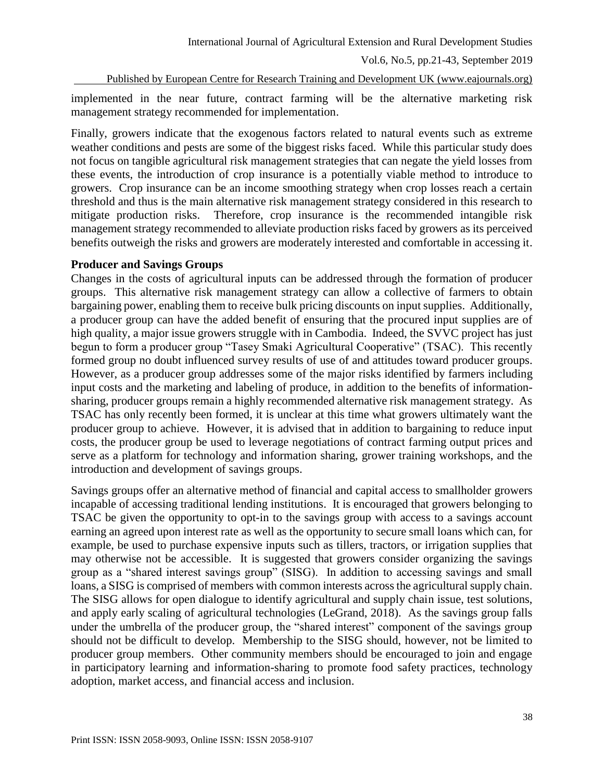Published by European Centre for Research Training and Development UK (www.eajournals.org)

implemented in the near future, contract farming will be the alternative marketing risk management strategy recommended for implementation.

Finally, growers indicate that the exogenous factors related to natural events such as extreme weather conditions and pests are some of the biggest risks faced. While this particular study does not focus on tangible agricultural risk management strategies that can negate the yield losses from these events, the introduction of crop insurance is a potentially viable method to introduce to growers. Crop insurance can be an income smoothing strategy when crop losses reach a certain threshold and thus is the main alternative risk management strategy considered in this research to mitigate production risks. Therefore, crop insurance is the recommended intangible risk management strategy recommended to alleviate production risks faced by growers as its perceived benefits outweigh the risks and growers are moderately interested and comfortable in accessing it.

#### **Producer and Savings Groups**

Changes in the costs of agricultural inputs can be addressed through the formation of producer groups. This alternative risk management strategy can allow a collective of farmers to obtain bargaining power, enabling them to receive bulk pricing discounts on input supplies. Additionally, a producer group can have the added benefit of ensuring that the procured input supplies are of high quality, a major issue growers struggle with in Cambodia. Indeed, the SVVC project has just begun to form a producer group "Tasey Smaki Agricultural Cooperative" (TSAC). This recently formed group no doubt influenced survey results of use of and attitudes toward producer groups. However, as a producer group addresses some of the major risks identified by farmers including input costs and the marketing and labeling of produce, in addition to the benefits of informationsharing, producer groups remain a highly recommended alternative risk management strategy. As TSAC has only recently been formed, it is unclear at this time what growers ultimately want the producer group to achieve. However, it is advised that in addition to bargaining to reduce input costs, the producer group be used to leverage negotiations of contract farming output prices and serve as a platform for technology and information sharing, grower training workshops, and the introduction and development of savings groups.

Savings groups offer an alternative method of financial and capital access to smallholder growers incapable of accessing traditional lending institutions. It is encouraged that growers belonging to TSAC be given the opportunity to opt-in to the savings group with access to a savings account earning an agreed upon interest rate as well as the opportunity to secure small loans which can, for example, be used to purchase expensive inputs such as tillers, tractors, or irrigation supplies that may otherwise not be accessible. It is suggested that growers consider organizing the savings group as a "shared interest savings group" (SISG). In addition to accessing savings and small loans, a SISG is comprised of members with common interests across the agricultural supply chain. The SISG allows for open dialogue to identify agricultural and supply chain issue, test solutions, and apply early scaling of agricultural technologies (LeGrand, 2018). As the savings group falls under the umbrella of the producer group, the "shared interest" component of the savings group should not be difficult to develop. Membership to the SISG should, however, not be limited to producer group members. Other community members should be encouraged to join and engage in participatory learning and information-sharing to promote food safety practices, technology adoption, market access, and financial access and inclusion.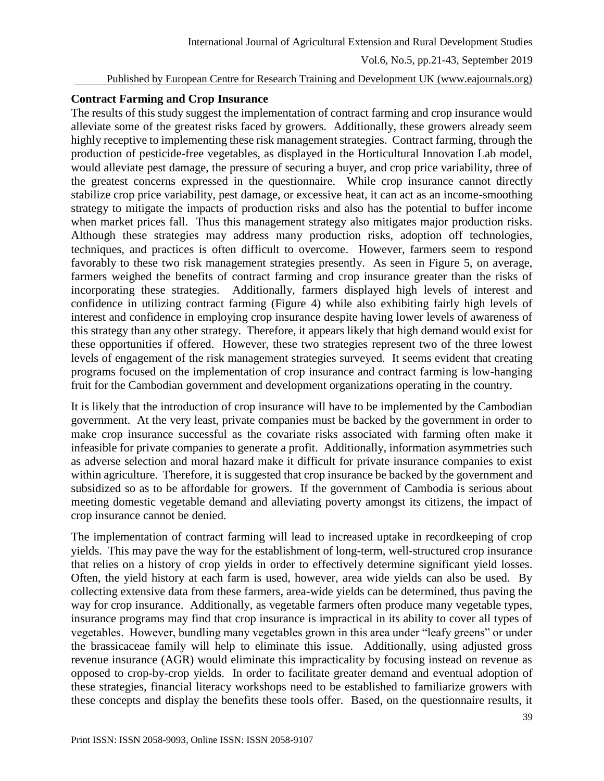#### Published by European Centre for Research Training and Development UK (www.eajournals.org)

#### **Contract Farming and Crop Insurance**

The results of this study suggest the implementation of contract farming and crop insurance would alleviate some of the greatest risks faced by growers. Additionally, these growers already seem highly receptive to implementing these risk management strategies. Contract farming, through the production of pesticide-free vegetables, as displayed in the Horticultural Innovation Lab model, would alleviate pest damage, the pressure of securing a buyer, and crop price variability, three of the greatest concerns expressed in the questionnaire. While crop insurance cannot directly stabilize crop price variability, pest damage, or excessive heat, it can act as an income-smoothing strategy to mitigate the impacts of production risks and also has the potential to buffer income when market prices fall. Thus this management strategy also mitigates major production risks. Although these strategies may address many production risks, adoption off technologies, techniques, and practices is often difficult to overcome. However, farmers seem to respond favorably to these two risk management strategies presently. As seen in Figure 5, on average, farmers weighed the benefits of contract farming and crop insurance greater than the risks of incorporating these strategies. Additionally, farmers displayed high levels of interest and confidence in utilizing contract farming (Figure 4) while also exhibiting fairly high levels of interest and confidence in employing crop insurance despite having lower levels of awareness of this strategy than any other strategy. Therefore, it appears likely that high demand would exist for these opportunities if offered. However, these two strategies represent two of the three lowest levels of engagement of the risk management strategies surveyed. It seems evident that creating programs focused on the implementation of crop insurance and contract farming is low-hanging fruit for the Cambodian government and development organizations operating in the country.

It is likely that the introduction of crop insurance will have to be implemented by the Cambodian government. At the very least, private companies must be backed by the government in order to make crop insurance successful as the covariate risks associated with farming often make it infeasible for private companies to generate a profit. Additionally, information asymmetries such as adverse selection and moral hazard make it difficult for private insurance companies to exist within agriculture. Therefore, it is suggested that crop insurance be backed by the government and subsidized so as to be affordable for growers. If the government of Cambodia is serious about meeting domestic vegetable demand and alleviating poverty amongst its citizens, the impact of crop insurance cannot be denied.

The implementation of contract farming will lead to increased uptake in recordkeeping of crop yields. This may pave the way for the establishment of long-term, well-structured crop insurance that relies on a history of crop yields in order to effectively determine significant yield losses. Often, the yield history at each farm is used, however, area wide yields can also be used. By collecting extensive data from these farmers, area-wide yields can be determined, thus paving the way for crop insurance. Additionally, as vegetable farmers often produce many vegetable types, insurance programs may find that crop insurance is impractical in its ability to cover all types of vegetables. However, bundling many vegetables grown in this area under "leafy greens" or under the brassicaceae family will help to eliminate this issue. Additionally, using adjusted gross revenue insurance (AGR) would eliminate this impracticality by focusing instead on revenue as opposed to crop-by-crop yields. In order to facilitate greater demand and eventual adoption of these strategies, financial literacy workshops need to be established to familiarize growers with these concepts and display the benefits these tools offer. Based, on the questionnaire results, it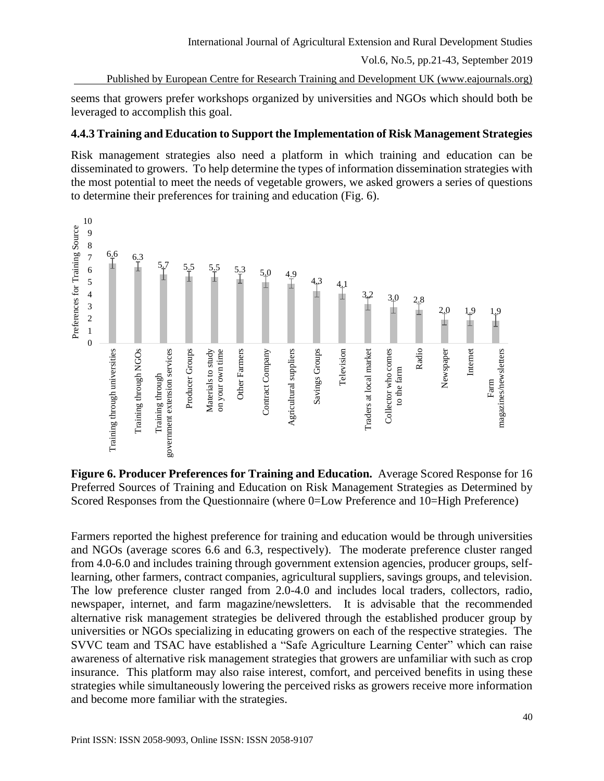International Journal of Agricultural Extension and Rural Development Studies

Vol.6, No.5, pp.21-43, September 2019

Published by European Centre for Research Training and Development UK (www.eajournals.org)

seems that growers prefer workshops organized by universities and NGOs which should both be leveraged to accomplish this goal.

# **4.4.3 Training and Education to Support the Implementation of Risk Management Strategies**

Risk management strategies also need a platform in which training and education can be disseminated to growers. To help determine the types of information dissemination strategies with the most potential to meet the needs of vegetable growers, we asked growers a series of questions to determine their preferences for training and education (Fig. 6).



**Figure 6. Producer Preferences for Training and Education.** Average Scored Response for 16 Preferred Sources of Training and Education on Risk Management Strategies as Determined by Scored Responses from the Questionnaire (where 0=Low Preference and 10=High Preference)

Farmers reported the highest preference for training and education would be through universities and NGOs (average scores 6.6 and 6.3, respectively). The moderate preference cluster ranged from 4.0-6.0 and includes training through government extension agencies, producer groups, selflearning, other farmers, contract companies, agricultural suppliers, savings groups, and television. The low preference cluster ranged from 2.0-4.0 and includes local traders, collectors, radio, newspaper, internet, and farm magazine/newsletters. It is advisable that the recommended alternative risk management strategies be delivered through the established producer group by universities or NGOs specializing in educating growers on each of the respective strategies. The SVVC team and TSAC have established a "Safe Agriculture Learning Center" which can raise awareness of alternative risk management strategies that growers are unfamiliar with such as crop insurance. This platform may also raise interest, comfort, and perceived benefits in using these strategies while simultaneously lowering the perceived risks as growers receive more information and become more familiar with the strategies.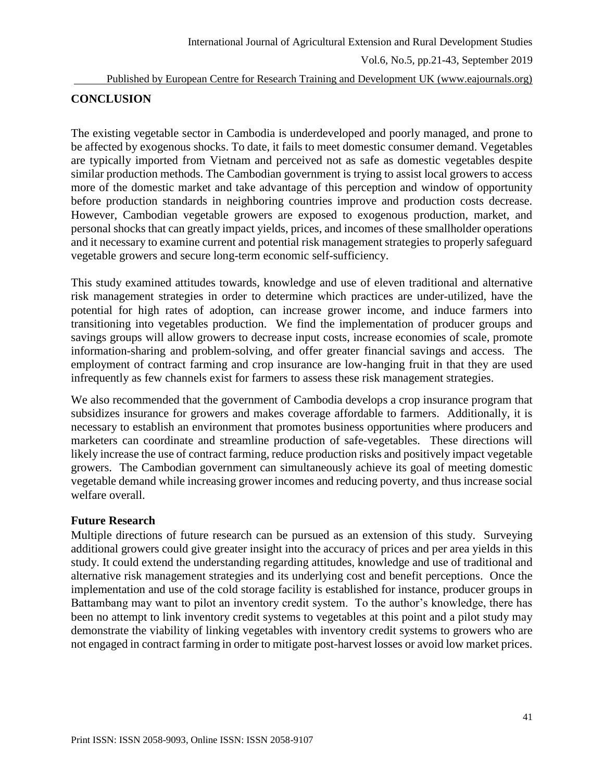#### Published by European Centre for Research Training and Development UK (www.eajournals.org)

### **CONCLUSION**

The existing vegetable sector in Cambodia is underdeveloped and poorly managed, and prone to be affected by exogenous shocks. To date, it fails to meet domestic consumer demand. Vegetables are typically imported from Vietnam and perceived not as safe as domestic vegetables despite similar production methods. The Cambodian government is trying to assist local growers to access more of the domestic market and take advantage of this perception and window of opportunity before production standards in neighboring countries improve and production costs decrease. However, Cambodian vegetable growers are exposed to exogenous production, market, and personal shocks that can greatly impact yields, prices, and incomes of these smallholder operations and it necessary to examine current and potential risk management strategies to properly safeguard vegetable growers and secure long-term economic self-sufficiency.

This study examined attitudes towards, knowledge and use of eleven traditional and alternative risk management strategies in order to determine which practices are under-utilized, have the potential for high rates of adoption, can increase grower income, and induce farmers into transitioning into vegetables production. We find the implementation of producer groups and savings groups will allow growers to decrease input costs, increase economies of scale, promote information-sharing and problem-solving, and offer greater financial savings and access. The employment of contract farming and crop insurance are low-hanging fruit in that they are used infrequently as few channels exist for farmers to assess these risk management strategies.

We also recommended that the government of Cambodia develops a crop insurance program that subsidizes insurance for growers and makes coverage affordable to farmers. Additionally, it is necessary to establish an environment that promotes business opportunities where producers and marketers can coordinate and streamline production of safe-vegetables. These directions will likely increase the use of contract farming, reduce production risks and positively impact vegetable growers. The Cambodian government can simultaneously achieve its goal of meeting domestic vegetable demand while increasing grower incomes and reducing poverty, and thus increase social welfare overall.

### **Future Research**

Multiple directions of future research can be pursued as an extension of this study. Surveying additional growers could give greater insight into the accuracy of prices and per area yields in this study. It could extend the understanding regarding attitudes, knowledge and use of traditional and alternative risk management strategies and its underlying cost and benefit perceptions. Once the implementation and use of the cold storage facility is established for instance, producer groups in Battambang may want to pilot an inventory credit system. To the author's knowledge, there has been no attempt to link inventory credit systems to vegetables at this point and a pilot study may demonstrate the viability of linking vegetables with inventory credit systems to growers who are not engaged in contract farming in order to mitigate post-harvest losses or avoid low market prices.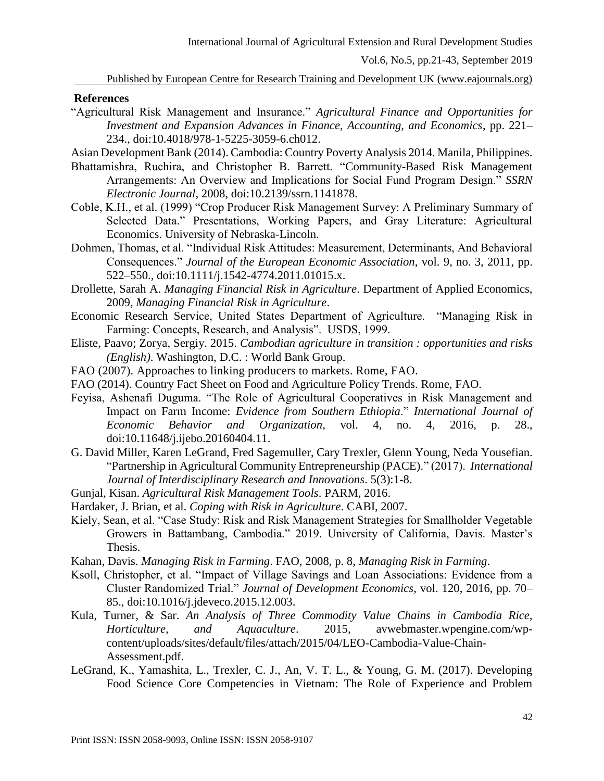Published by European Centre for Research Training and Development UK (www.eajournals.org)

#### **References**

- "Agricultural Risk Management and Insurance." *Agricultural Finance and Opportunities for Investment and Expansion Advances in Finance, Accounting, and Economics*, pp. 221– 234., doi:10.4018/978-1-5225-3059-6.ch012.
- Asian Development Bank (2014). Cambodia: Country Poverty Analysis 2014. Manila, Philippines.
- Bhattamishra, Ruchira, and Christopher B. Barrett. "Community-Based Risk Management Arrangements: An Overview and Implications for Social Fund Program Design." *SSRN Electronic Journal*, 2008, doi:10.2139/ssrn.1141878.
- Coble, K.H., et al. (1999) "Crop Producer Risk Management Survey: A Preliminary Summary of Selected Data." Presentations, Working Papers, and Gray Literature: Agricultural Economics. University of Nebraska-Lincoln.
- Dohmen, Thomas, et al. "Individual Risk Attitudes: Measurement, Determinants, And Behavioral Consequences." *Journal of the European Economic Association*, vol. 9, no. 3, 2011, pp. 522–550., doi:10.1111/j.1542-4774.2011.01015.x.
- Drollette, Sarah A. *Managing Financial Risk in Agriculture*. Department of Applied Economics, 2009, *Managing Financial Risk in Agriculture*.
- Economic Research Service, United States Department of Agriculture. "Managing Risk in Farming: Concepts, Research, and Analysis". USDS, 1999.
- Eliste, Paavo; Zorya, Sergiy. 2015. *Cambodian agriculture in transition : opportunities and risks (English)*. Washington, D.C. : World Bank Group.
- FAO (2007). Approaches to linking producers to markets. Rome, FAO.
- FAO (2014). Country Fact Sheet on Food and Agriculture Policy Trends. Rome, FAO.
- Feyisa, Ashenafi Duguma. "The Role of Agricultural Cooperatives in Risk Management and Impact on Farm Income: *Evidence from Southern Ethiopia*." *International Journal of Economic Behavior and Organization*, vol. 4, no. 4, 2016, p. 28., doi:10.11648/j.ijebo.20160404.11.
- G. David Miller, Karen LeGrand, Fred Sagemuller, Cary Trexler, Glenn Young, Neda Yousefian. "Partnership in Agricultural Community Entrepreneurship (PACE)." (2017). *International Journal of Interdisciplinary Research and Innovations*. 5(3):1-8.
- Gunjal, Kisan. *Agricultural Risk Management Tools*. PARM, 2016.
- Hardaker, J. Brian, et al. *Coping with Risk in Agriculture*. CABI, 2007.
- Kiely, Sean, et al. "Case Study: Risk and Risk Management Strategies for Smallholder Vegetable Growers in Battambang, Cambodia." 2019. University of California, Davis. Master's Thesis.
- Kahan, Davis. *Managing Risk in Farming*. FAO, 2008, p. 8, *Managing Risk in Farming*.
- Ksoll, Christopher, et al. "Impact of Village Savings and Loan Associations: Evidence from a Cluster Randomized Trial." *Journal of Development Economics*, vol. 120, 2016, pp. 70– 85., doi:10.1016/j.jdeveco.2015.12.003.
- Kula, Turner, & Sar. *An Analysis of Three Commodity Value Chains in Cambodia Rice, Horticulture, and Aquaculture*. 2015, avwebmaster.wpengine.com/wpcontent/uploads/sites/default/files/attach/2015/04/LEO-Cambodia-Value-Chain-Assessment.pdf.
- LeGrand, K., Yamashita, L., Trexler, C. J., An, V. T. L., & Young, G. M. (2017). Developing Food Science Core Competencies in Vietnam: The Role of Experience and Problem